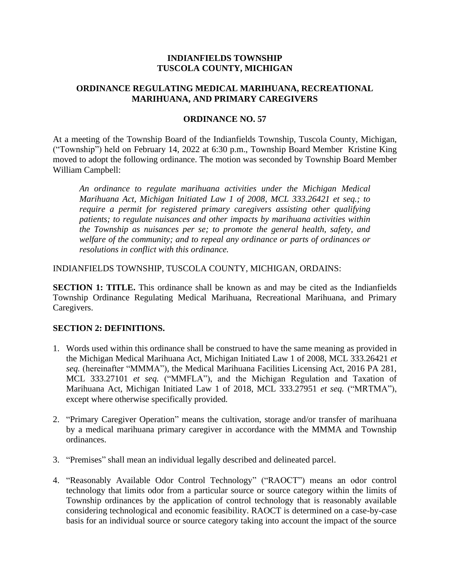### **INDIANFIELDS TOWNSHIP TUSCOLA COUNTY, MICHIGAN**

# **ORDINANCE REGULATING MEDICAL MARIHUANA, RECREATIONAL MARIHUANA, AND PRIMARY CAREGIVERS**

#### **ORDINANCE NO. 57**

At a meeting of the Township Board of the Indianfields Township, Tuscola County, Michigan, ("Township") held on February 14, 2022 at 6:30 p.m., Township Board Member Kristine King moved to adopt the following ordinance. The motion was seconded by Township Board Member William Campbell:

*An ordinance to regulate marihuana activities under the Michigan Medical Marihuana Act, Michigan Initiated Law 1 of 2008, MCL 333.26421 et seq.; to require a permit for registered primary caregivers assisting other qualifying patients; to regulate nuisances and other impacts by marihuana activities within the Township as nuisances per se; to promote the general health, safety, and welfare of the community; and to repeal any ordinance or parts of ordinances or resolutions in conflict with this ordinance.*

INDIANFIELDS TOWNSHIP, TUSCOLA COUNTY, MICHIGAN, ORDAINS:

**SECTION 1: TITLE.** This ordinance shall be known as and may be cited as the Indianfields Township Ordinance Regulating Medical Marihuana, Recreational Marihuana, and Primary Caregivers.

# **SECTION 2: DEFINITIONS.**

- 1. Words used within this ordinance shall be construed to have the same meaning as provided in the Michigan Medical Marihuana Act, Michigan Initiated Law 1 of 2008, MCL 333.26421 *et seq.* (hereinafter "MMMA"), the Medical Marihuana Facilities Licensing Act, 2016 PA 281, MCL 333.27101 *et seq.* ("MMFLA"), and the Michigan Regulation and Taxation of Marihuana Act, Michigan Initiated Law 1 of 2018, MCL 333.27951 *et seq.* ("MRTMA"), except where otherwise specifically provided*.*
- 2. "Primary Caregiver Operation" means the cultivation, storage and/or transfer of marihuana by a medical marihuana primary caregiver in accordance with the MMMA and Township ordinances.
- 3. "Premises" shall mean an individual legally described and delineated parcel.
- 4. "Reasonably Available Odor Control Technology" ("RAOCT") means an odor control technology that limits odor from a particular source or source category within the limits of Township ordinances by the application of control technology that is reasonably available considering technological and economic feasibility. RAOCT is determined on a case-by-case basis for an individual source or source category taking into account the impact of the source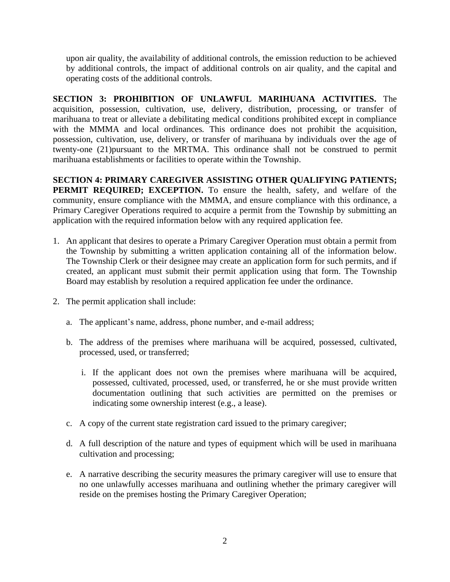upon air quality, the availability of additional controls, the emission reduction to be achieved by additional controls, the impact of additional controls on air quality, and the capital and operating costs of the additional controls.

**SECTION 3: PROHIBITION OF UNLAWFUL MARIHUANA ACTIVITIES.** The acquisition, possession, cultivation, use, delivery, distribution, processing, or transfer of marihuana to treat or alleviate a debilitating medical conditions prohibited except in compliance with the MMMA and local ordinances*.* This ordinance does not prohibit the acquisition, possession, cultivation, use, delivery, or transfer of marihuana by individuals over the age of twenty-one (21)pursuant to the MRTMA. This ordinance shall not be construed to permit marihuana establishments or facilities to operate within the Township.

**SECTION 4: PRIMARY CAREGIVER ASSISTING OTHER QUALIFYING PATIENTS; PERMIT REQUIRED; EXCEPTION.** To ensure the health, safety, and welfare of the community, ensure compliance with the MMMA, and ensure compliance with this ordinance, a Primary Caregiver Operations required to acquire a permit from the Township by submitting an application with the required information below with any required application fee.

- 1. An applicant that desires to operate a Primary Caregiver Operation must obtain a permit from the Township by submitting a written application containing all of the information below. The Township Clerk or their designee may create an application form for such permits, and if created, an applicant must submit their permit application using that form. The Township Board may establish by resolution a required application fee under the ordinance.
- 2. The permit application shall include:
	- a. The applicant's name, address, phone number, and e-mail address;
	- b. The address of the premises where marihuana will be acquired, possessed, cultivated, processed, used, or transferred;
		- i. If the applicant does not own the premises where marihuana will be acquired, possessed, cultivated, processed, used, or transferred, he or she must provide written documentation outlining that such activities are permitted on the premises or indicating some ownership interest (e.g., a lease).
	- c. A copy of the current state registration card issued to the primary caregiver;
	- d. A full description of the nature and types of equipment which will be used in marihuana cultivation and processing;
	- e. A narrative describing the security measures the primary caregiver will use to ensure that no one unlawfully accesses marihuana and outlining whether the primary caregiver will reside on the premises hosting the Primary Caregiver Operation;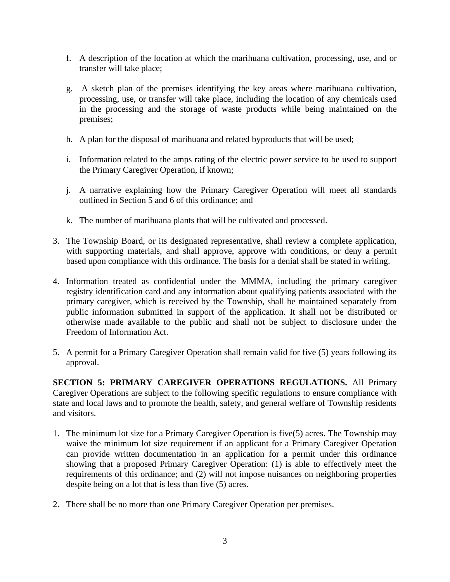- f. A description of the location at which the marihuana cultivation, processing, use, and or transfer will take place;
- g. A sketch plan of the premises identifying the key areas where marihuana cultivation, processing, use, or transfer will take place, including the location of any chemicals used in the processing and the storage of waste products while being maintained on the premises;
- h. A plan for the disposal of marihuana and related byproducts that will be used;
- i. Information related to the amps rating of the electric power service to be used to support the Primary Caregiver Operation, if known;
- j. A narrative explaining how the Primary Caregiver Operation will meet all standards outlined in Section 5 and 6 of this ordinance; and
- k. The number of marihuana plants that will be cultivated and processed.
- 3. The Township Board, or its designated representative, shall review a complete application, with supporting materials, and shall approve, approve with conditions, or deny a permit based upon compliance with this ordinance. The basis for a denial shall be stated in writing.
- 4. Information treated as confidential under the MMMA, including the primary caregiver registry identification card and any information about qualifying patients associated with the primary caregiver, which is received by the Township, shall be maintained separately from public information submitted in support of the application. It shall not be distributed or otherwise made available to the public and shall not be subject to disclosure under the Freedom of Information Act.
- 5. A permit for a Primary Caregiver Operation shall remain valid for five (5) years following its approval.

**SECTION 5: PRIMARY CAREGIVER OPERATIONS REGULATIONS.** All Primary Caregiver Operations are subject to the following specific regulations to ensure compliance with state and local laws and to promote the health, safety, and general welfare of Township residents and visitors.

- 1. The minimum lot size for a Primary Caregiver Operation is five(5) acres. The Township may waive the minimum lot size requirement if an applicant for a Primary Caregiver Operation can provide written documentation in an application for a permit under this ordinance showing that a proposed Primary Caregiver Operation: (1) is able to effectively meet the requirements of this ordinance; and (2) will not impose nuisances on neighboring properties despite being on a lot that is less than five (5) acres.
- 2. There shall be no more than one Primary Caregiver Operation per premises.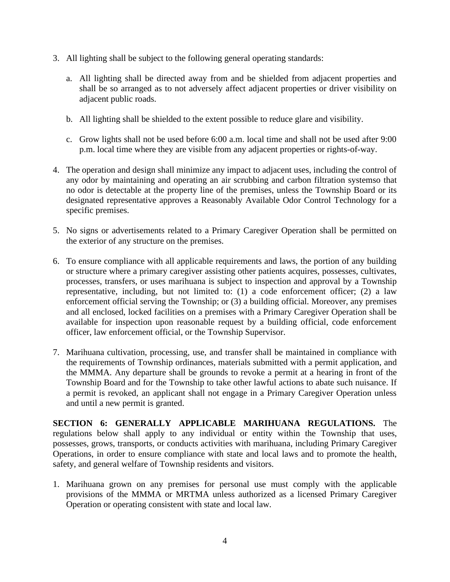- 3. All lighting shall be subject to the following general operating standards:
	- a. All lighting shall be directed away from and be shielded from adjacent properties and shall be so arranged as to not adversely affect adjacent properties or driver visibility on adjacent public roads.
	- b. All lighting shall be shielded to the extent possible to reduce glare and visibility.
	- c. Grow lights shall not be used before 6:00 a.m. local time and shall not be used after 9:00 p.m. local time where they are visible from any adjacent properties or rights-of-way.
- 4. The operation and design shall minimize any impact to adjacent uses, including the control of any odor by maintaining and operating an air scrubbing and carbon filtration systemso that no odor is detectable at the property line of the premises, unless the Township Board or its designated representative approves a Reasonably Available Odor Control Technology for a specific premises.
- 5. No signs or advertisements related to a Primary Caregiver Operation shall be permitted on the exterior of any structure on the premises.
- 6. To ensure compliance with all applicable requirements and laws, the portion of any building or structure where a primary caregiver assisting other patients acquires, possesses, cultivates, processes, transfers, or uses marihuana is subject to inspection and approval by a Township representative, including, but not limited to: (1) a code enforcement officer; (2) a law enforcement official serving the Township; or (3) a building official. Moreover, any premises and all enclosed, locked facilities on a premises with a Primary Caregiver Operation shall be available for inspection upon reasonable request by a building official, code enforcement officer, law enforcement official, or the Township Supervisor.
- 7. Marihuana cultivation, processing, use, and transfer shall be maintained in compliance with the requirements of Township ordinances, materials submitted with a permit application, and the MMMA. Any departure shall be grounds to revoke a permit at a hearing in front of the Township Board and for the Township to take other lawful actions to abate such nuisance. If a permit is revoked, an applicant shall not engage in a Primary Caregiver Operation unless and until a new permit is granted.

**SECTION 6: GENERALLY APPLICABLE MARIHUANA REGULATIONS.** The regulations below shall apply to any individual or entity within the Township that uses, possesses, grows, transports, or conducts activities with marihuana, including Primary Caregiver Operations, in order to ensure compliance with state and local laws and to promote the health, safety, and general welfare of Township residents and visitors.

1. Marihuana grown on any premises for personal use must comply with the applicable provisions of the MMMA or MRTMA unless authorized as a licensed Primary Caregiver Operation or operating consistent with state and local law.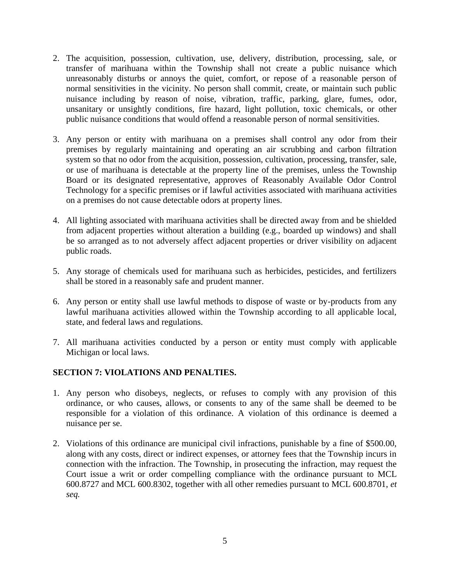- 2. The acquisition, possession, cultivation, use, delivery, distribution, processing, sale, or transfer of marihuana within the Township shall not create a public nuisance which unreasonably disturbs or annoys the quiet, comfort, or repose of a reasonable person of normal sensitivities in the vicinity. No person shall commit, create, or maintain such public nuisance including by reason of noise, vibration, traffic, parking, glare, fumes, odor, unsanitary or unsightly conditions, fire hazard, light pollution, toxic chemicals, or other public nuisance conditions that would offend a reasonable person of normal sensitivities.
- 3. Any person or entity with marihuana on a premises shall control any odor from their premises by regularly maintaining and operating an air scrubbing and carbon filtration system so that no odor from the acquisition, possession, cultivation, processing, transfer, sale, or use of marihuana is detectable at the property line of the premises, unless the Township Board or its designated representative, approves of Reasonably Available Odor Control Technology for a specific premises or if lawful activities associated with marihuana activities on a premises do not cause detectable odors at property lines.
- 4. All lighting associated with marihuana activities shall be directed away from and be shielded from adjacent properties without alteration a building (e.g., boarded up windows) and shall be so arranged as to not adversely affect adjacent properties or driver visibility on adjacent public roads.
- 5. Any storage of chemicals used for marihuana such as herbicides, pesticides, and fertilizers shall be stored in a reasonably safe and prudent manner.
- 6. Any person or entity shall use lawful methods to dispose of waste or by-products from any lawful marihuana activities allowed within the Township according to all applicable local, state, and federal laws and regulations.
- 7. All marihuana activities conducted by a person or entity must comply with applicable Michigan or local laws.

# **SECTION 7: VIOLATIONS AND PENALTIES.**

- 1. Any person who disobeys, neglects, or refuses to comply with any provision of this ordinance, or who causes, allows, or consents to any of the same shall be deemed to be responsible for a violation of this ordinance. A violation of this ordinance is deemed a nuisance per se.
- 2. Violations of this ordinance are municipal civil infractions, punishable by a fine of \$500.00, along with any costs, direct or indirect expenses, or attorney fees that the Township incurs in connection with the infraction. The Township, in prosecuting the infraction, may request the Court issue a writ or order compelling compliance with the ordinance pursuant to MCL 600.8727 and MCL 600.8302, together with all other remedies pursuant to MCL 600.8701, *et seq.*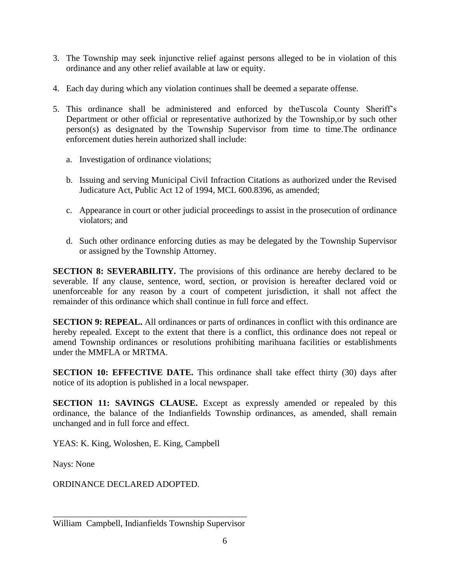- 3. The Township may seek injunctive relief against persons alleged to be in violation of this ordinance and any other relief available at law or equity.
- 4. Each day during which any violation continues shall be deemed a separate offense.
- 5. This ordinance shall be administered and enforced by theTuscola County Sheriff's Department or other official or representative authorized by the Township,or by such other person(s) as designated by the Township Supervisor from time to time.The ordinance enforcement duties herein authorized shall include:
	- a. Investigation of ordinance violations;
	- b. Issuing and serving Municipal Civil Infraction Citations as authorized under the Revised Judicature Act, Public Act 12 of 1994, MCL 600.8396, as amended;
	- c. Appearance in court or other judicial proceedings to assist in the prosecution of ordinance violators; and
	- d. Such other ordinance enforcing duties as may be delegated by the Township Supervisor or assigned by the Township Attorney.

**SECTION 8: SEVERABILITY.** The provisions of this ordinance are hereby declared to be severable. If any clause, sentence, word, section, or provision is hereafter declared void or unenforceable for any reason by a court of competent jurisdiction, it shall not affect the remainder of this ordinance which shall continue in full force and effect.

**SECTION 9: REPEAL.** All ordinances or parts of ordinances in conflict with this ordinance are hereby repealed. Except to the extent that there is a conflict, this ordinance does not repeal or amend Township ordinances or resolutions prohibiting marihuana facilities or establishments under the MMFLA or MRTMA.

**SECTION 10: EFFECTIVE DATE.** This ordinance shall take effect thirty (30) days after notice of its adoption is published in a local newspaper.

**SECTION 11: SAVINGS CLAUSE.** Except as expressly amended or repealed by this ordinance, the balance of the Indianfields Township ordinances, as amended, shall remain unchanged and in full force and effect.

YEAS: K. King, Woloshen, E. King, Campbell

Nays: None

ORDINANCE DECLARED ADOPTED.

\_\_\_\_\_\_\_\_\_\_\_\_\_\_\_\_\_\_\_\_\_\_\_\_\_\_\_\_\_\_\_\_\_\_\_\_\_\_\_\_\_\_\_\_ William Campbell, Indianfields Township Supervisor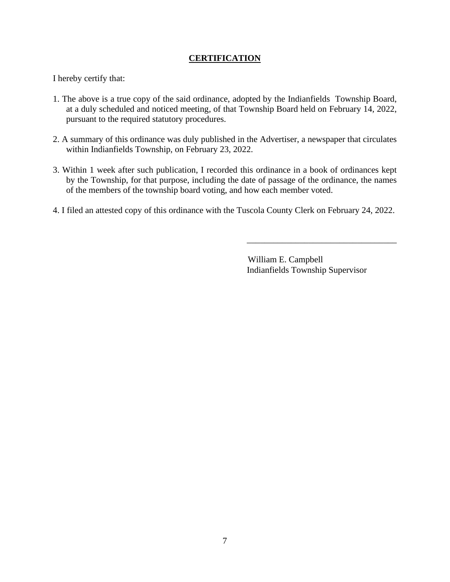# **CERTIFICATION**

I hereby certify that:

- 1. The above is a true copy of the said ordinance, adopted by the Indianfields Township Board, at a duly scheduled and noticed meeting, of that Township Board held on February 14, 2022, pursuant to the required statutory procedures.
- 2. A summary of this ordinance was duly published in the Advertiser, a newspaper that circulates within Indianfields Township, on February 23, 2022.
- 3. Within 1 week after such publication, I recorded this ordinance in a book of ordinances kept by the Township, for that purpose, including the date of passage of the ordinance, the names of the members of the township board voting, and how each member voted.
- 4. I filed an attested copy of this ordinance with the Tuscola County Clerk on February 24, 2022.

 William E. Campbell Indianfields Township Supervisor

\_\_\_\_\_\_\_\_\_\_\_\_\_\_\_\_\_\_\_\_\_\_\_\_\_\_\_\_\_\_\_\_\_\_